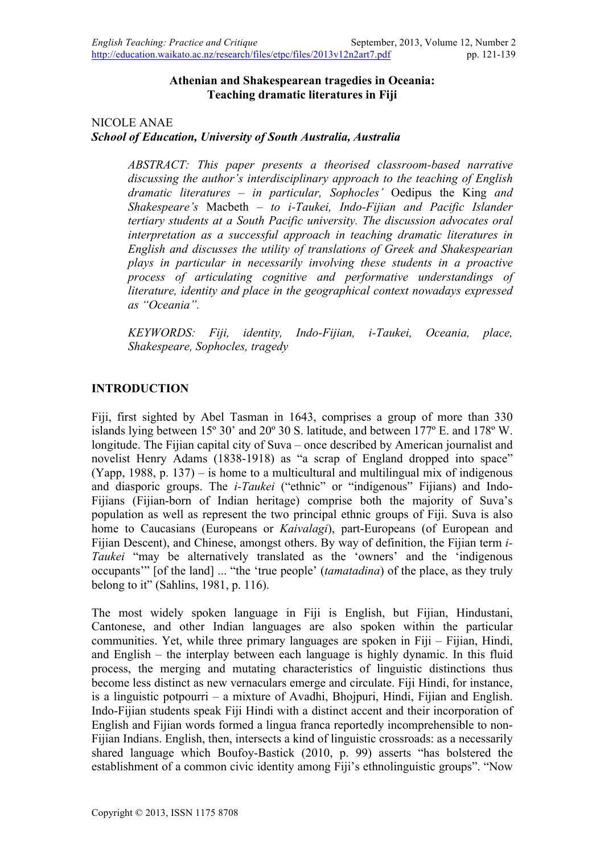#### **Athenian and Shakespearean tragedies in Oceania: Teaching dramatic literatures in Fiji**

#### NICOLE ANAE *School of Education, University of South Australia, Australia*

*ABSTRACT: This paper presents a theorised classroom-based narrative discussing the author's interdisciplinary approach to the teaching of English dramatic literatures – in particular, Sophocles'* Oedipus the King *and Shakespeare's* Macbeth *– to i-Taukei, Indo-Fijian and Pacific Islander tertiary students at a South Pacific university. The discussion advocates oral interpretation as a successful approach in teaching dramatic literatures in English and discusses the utility of translations of Greek and Shakespearian plays in particular in necessarily involving these students in a proactive process of articulating cognitive and performative understandings of literature, identity and place in the geographical context nowadays expressed as "Oceania".* 

*KEYWORDS: Fiji, identity, Indo-Fijian, i-Taukei, Oceania, place, Shakespeare, Sophocles, tragedy* 

### **INTRODUCTION**

Fiji, first sighted by Abel Tasman in 1643, comprises a group of more than 330 islands lying between 15º 30' and 20º 30 S. latitude, and between 177º E. and 178º W. longitude. The Fijian capital city of Suva – once described by American journalist and novelist Henry Adams (1838-1918) as "a scrap of England dropped into space" (Yapp, 1988, p. 137) – is home to a multicultural and multilingual mix of indigenous and diasporic groups. The *i-Taukei* ("ethnic" or "indigenous" Fijians) and Indo-Fijians (Fijian-born of Indian heritage) comprise both the majority of Suva's population as well as represent the two principal ethnic groups of Fiji. Suva is also home to Caucasians (Europeans or *Kaivalagi*), part-Europeans (of European and Fijian Descent), and Chinese, amongst others. By way of definition, the Fijian term *i-Taukei* "may be alternatively translated as the 'owners' and the 'indigenous occupants'" [of the land] ... "the 'true people' (*tamatadina*) of the place, as they truly belong to it" (Sahlins, 1981, p. 116).

The most widely spoken language in Fiji is English, but Fijian, Hindustani, Cantonese, and other Indian languages are also spoken within the particular communities. Yet, while three primary languages are spoken in Fiji – Fijian, Hindi, and English – the interplay between each language is highly dynamic. In this fluid process, the merging and mutating characteristics of linguistic distinctions thus become less distinct as new vernaculars emerge and circulate. Fiji Hindi, for instance, is a linguistic potpourri – a mixture of Avadhi, Bhojpuri, Hindi, Fijian and English. Indo-Fijian students speak Fiji Hindi with a distinct accent and their incorporation of English and Fijian words formed a lingua franca reportedly incomprehensible to non-Fijian Indians. English, then, intersects a kind of linguistic crossroads: as a necessarily shared language which Boufoy-Bastick (2010, p. 99) asserts "has bolstered the establishment of a common civic identity among Fiji's ethnolinguistic groups". "Now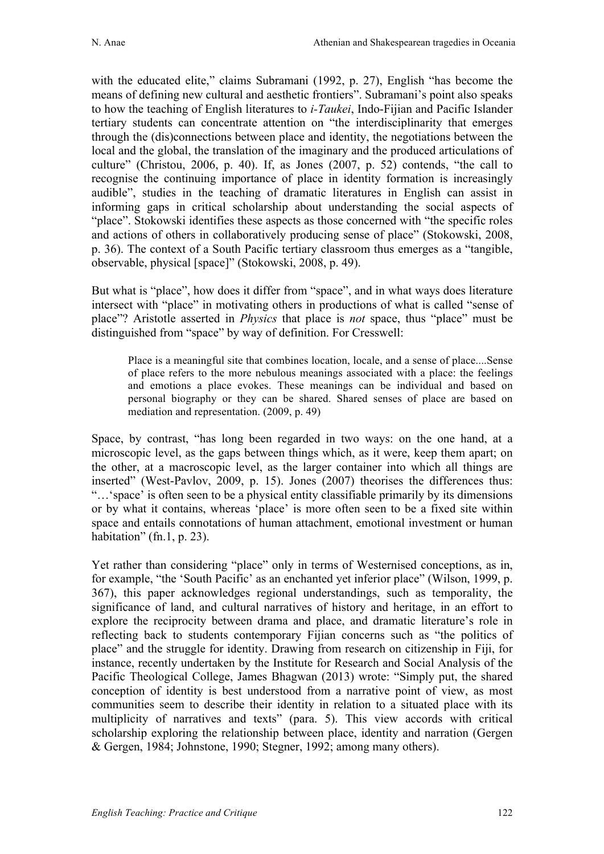with the educated elite," claims Subramani (1992, p. 27), English "has become the means of defining new cultural and aesthetic frontiers". Subramani's point also speaks to how the teaching of English literatures to *i-Taukei*, Indo-Fijian and Pacific Islander tertiary students can concentrate attention on "the interdisciplinarity that emerges through the (dis)connections between place and identity, the negotiations between the local and the global, the translation of the imaginary and the produced articulations of culture" (Christou, 2006, p. 40). If, as Jones (2007, p. 52) contends, "the call to recognise the continuing importance of place in identity formation is increasingly audible", studies in the teaching of dramatic literatures in English can assist in informing gaps in critical scholarship about understanding the social aspects of "place". Stokowski identifies these aspects as those concerned with "the specific roles and actions of others in collaboratively producing sense of place" (Stokowski, 2008, p. 36). The context of a South Pacific tertiary classroom thus emerges as a "tangible, observable, physical [space]" (Stokowski, 2008, p. 49).

But what is "place", how does it differ from "space", and in what ways does literature intersect with "place" in motivating others in productions of what is called "sense of place"? Aristotle asserted in *Physics* that place is *not* space, thus "place" must be distinguished from "space" by way of definition. For Cresswell:

Place is a meaningful site that combines location, locale, and a sense of place....Sense of place refers to the more nebulous meanings associated with a place: the feelings and emotions a place evokes. These meanings can be individual and based on personal biography or they can be shared. Shared senses of place are based on mediation and representation. (2009, p. 49)

Space, by contrast, "has long been regarded in two ways: on the one hand, at a microscopic level, as the gaps between things which, as it were, keep them apart; on the other, at a macroscopic level, as the larger container into which all things are inserted" (West-Pavlov, 2009, p. 15). Jones (2007) theorises the differences thus: "…'space' is often seen to be a physical entity classifiable primarily by its dimensions or by what it contains, whereas 'place' is more often seen to be a fixed site within space and entails connotations of human attachment, emotional investment or human habitation" (fn.1, p. 23).

Yet rather than considering "place" only in terms of Westernised conceptions, as in, for example, "the 'South Pacific' as an enchanted yet inferior place" (Wilson, 1999, p. 367), this paper acknowledges regional understandings, such as temporality, the significance of land, and cultural narratives of history and heritage, in an effort to explore the reciprocity between drama and place, and dramatic literature's role in reflecting back to students contemporary Fijian concerns such as "the politics of place" and the struggle for identity. Drawing from research on citizenship in Fiji, for instance, recently undertaken by the Institute for Research and Social Analysis of the Pacific Theological College, James Bhagwan (2013) wrote: "Simply put, the shared conception of identity is best understood from a narrative point of view, as most communities seem to describe their identity in relation to a situated place with its multiplicity of narratives and texts" (para. 5). This view accords with critical scholarship exploring the relationship between place, identity and narration (Gergen & Gergen, 1984; Johnstone, 1990; Stegner, 1992; among many others).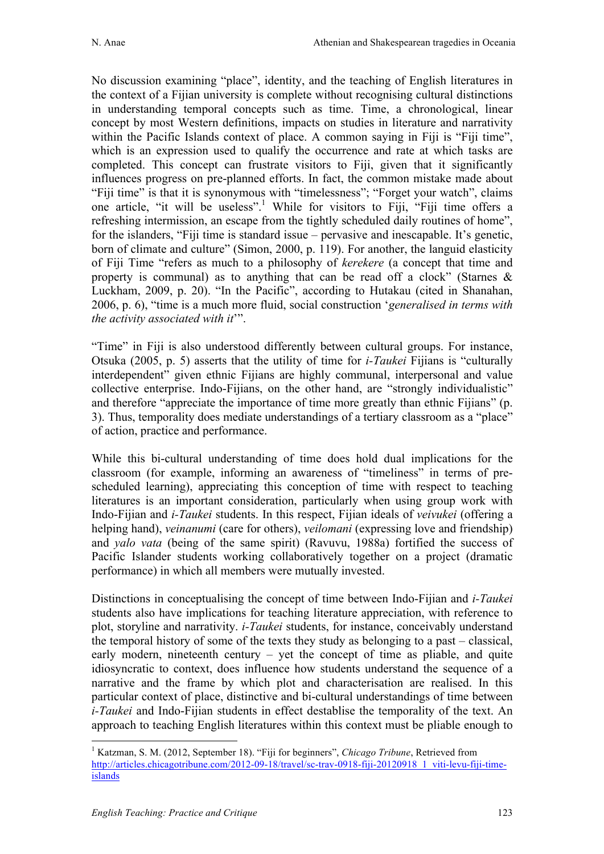No discussion examining "place", identity, and the teaching of English literatures in the context of a Fijian university is complete without recognising cultural distinctions in understanding temporal concepts such as time. Time, a chronological, linear concept by most Western definitions, impacts on studies in literature and narrativity within the Pacific Islands context of place. A common saying in Fiji is "Fiji time", which is an expression used to qualify the occurrence and rate at which tasks are completed. This concept can frustrate visitors to Fiji, given that it significantly influences progress on pre-planned efforts. In fact, the common mistake made about "Fiji time" is that it is synonymous with "timelessness"; "Forget your watch", claims one article, "it will be useless".<sup>1</sup> While for visitors to Fiji, "Fiji time offers a refreshing intermission, an escape from the tightly scheduled daily routines of home", for the islanders, "Fiji time is standard issue – pervasive and inescapable. It's genetic, born of climate and culture" (Simon, 2000, p. 119). For another, the languid elasticity of Fiji Time "refers as much to a philosophy of *kerekere* (a concept that time and property is communal) as to anything that can be read off a clock" (Starnes  $\&$ Luckham, 2009, p. 20). "In the Pacific", according to Hutakau (cited in Shanahan, 2006, p. 6), "time is a much more fluid, social construction '*generalised in terms with the activity associated with it*'".

"Time" in Fiji is also understood differently between cultural groups. For instance, Otsuka (2005, p. 5) asserts that the utility of time for *i-Taukei* Fijians is "culturally interdependent" given ethnic Fijians are highly communal, interpersonal and value collective enterprise. Indo-Fijians, on the other hand, are "strongly individualistic" and therefore "appreciate the importance of time more greatly than ethnic Fijians" (p. 3). Thus, temporality does mediate understandings of a tertiary classroom as a "place" of action, practice and performance.

While this bi-cultural understanding of time does hold dual implications for the classroom (for example, informing an awareness of "timeliness" in terms of prescheduled learning), appreciating this conception of time with respect to teaching literatures is an important consideration, particularly when using group work with Indo-Fijian and *i-Taukei* students. In this respect, Fijian ideals of *veivukei* (offering a helping hand), *veinanumi* (care for others), *veilomani* (expressing love and friendship) and *yalo vata* (being of the same spirit) (Ravuvu, 1988a) fortified the success of Pacific Islander students working collaboratively together on a project (dramatic performance) in which all members were mutually invested.

Distinctions in conceptualising the concept of time between Indo-Fijian and *i-Taukei* students also have implications for teaching literature appreciation, with reference to plot, storyline and narrativity. *i-Taukei* students, for instance, conceivably understand the temporal history of some of the texts they study as belonging to a past – classical, early modern, nineteenth century – yet the concept of time as pliable, and quite idiosyncratic to context, does influence how students understand the sequence of a narrative and the frame by which plot and characterisation are realised. In this particular context of place, distinctive and bi-cultural understandings of time between *i-Taukei* and Indo-Fijian students in effect destablise the temporality of the text. An approach to teaching English literatures within this context must be pliable enough to

<sup>&</sup>lt;sup>1</sup> Katzman, S. M. (2012, September 18). "Fiji for beginners", *Chicago Tribune*, Retrieved from http://articles.chicagotribune.com/2012-09-18/travel/sc-trav-0918-fiji-20120918\_1\_viti-levu-fiji-timeislands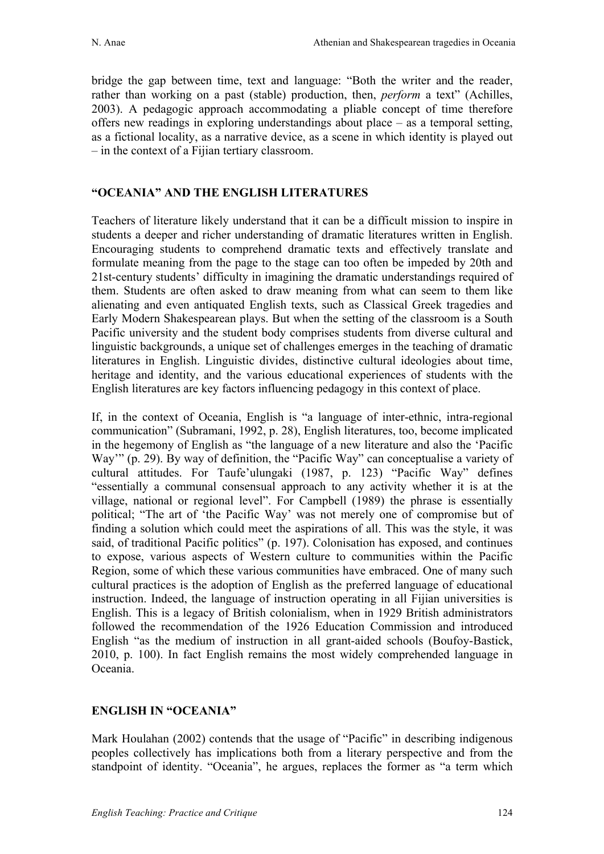bridge the gap between time, text and language: "Both the writer and the reader, rather than working on a past (stable) production, then, *perform* a text" (Achilles, 2003). A pedagogic approach accommodating a pliable concept of time therefore offers new readings in exploring understandings about place – as a temporal setting, as a fictional locality, as a narrative device, as a scene in which identity is played out – in the context of a Fijian tertiary classroom.

## **"OCEANIA" AND THE ENGLISH LITERATURES**

Teachers of literature likely understand that it can be a difficult mission to inspire in students a deeper and richer understanding of dramatic literatures written in English. Encouraging students to comprehend dramatic texts and effectively translate and formulate meaning from the page to the stage can too often be impeded by 20th and 21st-century students' difficulty in imagining the dramatic understandings required of them. Students are often asked to draw meaning from what can seem to them like alienating and even antiquated English texts, such as Classical Greek tragedies and Early Modern Shakespearean plays. But when the setting of the classroom is a South Pacific university and the student body comprises students from diverse cultural and linguistic backgrounds, a unique set of challenges emerges in the teaching of dramatic literatures in English. Linguistic divides, distinctive cultural ideologies about time, heritage and identity, and the various educational experiences of students with the English literatures are key factors influencing pedagogy in this context of place.

If, in the context of Oceania, English is "a language of inter-ethnic, intra-regional communication" (Subramani, 1992, p. 28), English literatures, too, become implicated in the hegemony of English as "the language of a new literature and also the 'Pacific Way'" (p. 29). By way of definition, the "Pacific Way" can conceptualise a variety of cultural attitudes. For Taufe'ulungaki (1987, p. 123) "Pacific Way" defines "essentially a communal consensual approach to any activity whether it is at the village, national or regional level". For Campbell (1989) the phrase is essentially political; "The art of 'the Pacific Way' was not merely one of compromise but of finding a solution which could meet the aspirations of all. This was the style, it was said, of traditional Pacific politics" (p. 197). Colonisation has exposed, and continues to expose, various aspects of Western culture to communities within the Pacific Region, some of which these various communities have embraced. One of many such cultural practices is the adoption of English as the preferred language of educational instruction. Indeed, the language of instruction operating in all Fijian universities is English. This is a legacy of British colonialism, when in 1929 British administrators followed the recommendation of the 1926 Education Commission and introduced English "as the medium of instruction in all grant-aided schools (Boufoy-Bastick, 2010, p. 100). In fact English remains the most widely comprehended language in Oceania.

# **ENGLISH IN "OCEANIA"**

Mark Houlahan (2002) contends that the usage of "Pacific" in describing indigenous peoples collectively has implications both from a literary perspective and from the standpoint of identity. "Oceania", he argues, replaces the former as "a term which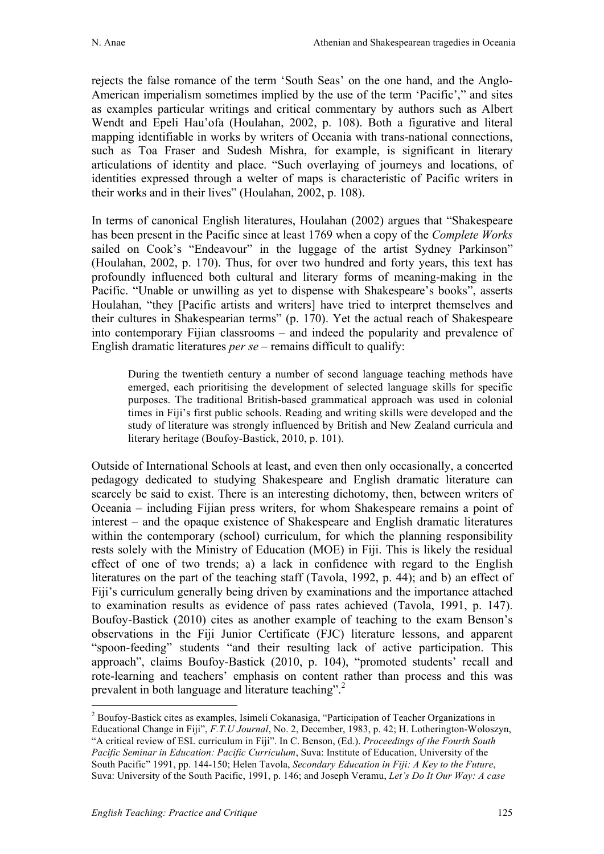rejects the false romance of the term 'South Seas' on the one hand, and the Anglo-American imperialism sometimes implied by the use of the term 'Pacific'," and sites as examples particular writings and critical commentary by authors such as Albert Wendt and Epeli Hau'ofa (Houlahan, 2002, p. 108). Both a figurative and literal mapping identifiable in works by writers of Oceania with trans-national connections, such as Toa Fraser and Sudesh Mishra, for example, is significant in literary articulations of identity and place. "Such overlaying of journeys and locations, of identities expressed through a welter of maps is characteristic of Pacific writers in their works and in their lives" (Houlahan, 2002, p. 108).

In terms of canonical English literatures, Houlahan (2002) argues that "Shakespeare has been present in the Pacific since at least 1769 when a copy of the *Complete Works* sailed on Cook's "Endeavour" in the luggage of the artist Sydney Parkinson" (Houlahan, 2002, p. 170). Thus, for over two hundred and forty years, this text has profoundly influenced both cultural and literary forms of meaning-making in the Pacific. "Unable or unwilling as yet to dispense with Shakespeare's books", asserts Houlahan, "they [Pacific artists and writers] have tried to interpret themselves and their cultures in Shakespearian terms" (p. 170). Yet the actual reach of Shakespeare into contemporary Fijian classrooms – and indeed the popularity and prevalence of English dramatic literatures *per se* – remains difficult to qualify:

During the twentieth century a number of second language teaching methods have emerged, each prioritising the development of selected language skills for specific purposes. The traditional British-based grammatical approach was used in colonial times in Fiji's first public schools. Reading and writing skills were developed and the study of literature was strongly influenced by British and New Zealand curricula and literary heritage (Boufoy-Bastick, 2010, p. 101).

Outside of International Schools at least, and even then only occasionally, a concerted pedagogy dedicated to studying Shakespeare and English dramatic literature can scarcely be said to exist. There is an interesting dichotomy, then, between writers of Oceania – including Fijian press writers, for whom Shakespeare remains a point of interest – and the opaque existence of Shakespeare and English dramatic literatures within the contemporary (school) curriculum, for which the planning responsibility rests solely with the Ministry of Education (MOE) in Fiji. This is likely the residual effect of one of two trends; a) a lack in confidence with regard to the English literatures on the part of the teaching staff (Tavola, 1992, p. 44); and b) an effect of Fiji's curriculum generally being driven by examinations and the importance attached to examination results as evidence of pass rates achieved (Tavola, 1991, p. 147). Boufoy-Bastick (2010) cites as another example of teaching to the exam Benson's observations in the Fiji Junior Certificate (FJC) literature lessons, and apparent "spoon-feeding" students "and their resulting lack of active participation. This approach", claims Boufoy-Bastick (2010, p. 104), "promoted students' recall and rote-learning and teachers' emphasis on content rather than process and this was prevalent in both language and literature teaching".<sup>2</sup>

 <sup>2</sup> Boufoy-Bastick cites as examples, Isimeli Cokanasiga, "Participation of Teacher Organizations in Educational Change in Fiji", *F.T.U Journal*, No. 2, December, 1983, p. 42; H. Lotherington-Woloszyn, "A critical review of ESL curriculum in Fiji". In C. Benson, (Ed.). *Proceedings of the Fourth South Pacific Seminar in Education: Pacific Curriculum*, Suva: Institute of Education, University of the South Pacific" 1991, pp. 144-150; Helen Tavola, *Secondary Education in Fiji: A Key to the Future*, Suva: University of the South Pacific, 1991, p. 146; and Joseph Veramu, *Let's Do It Our Way: A case*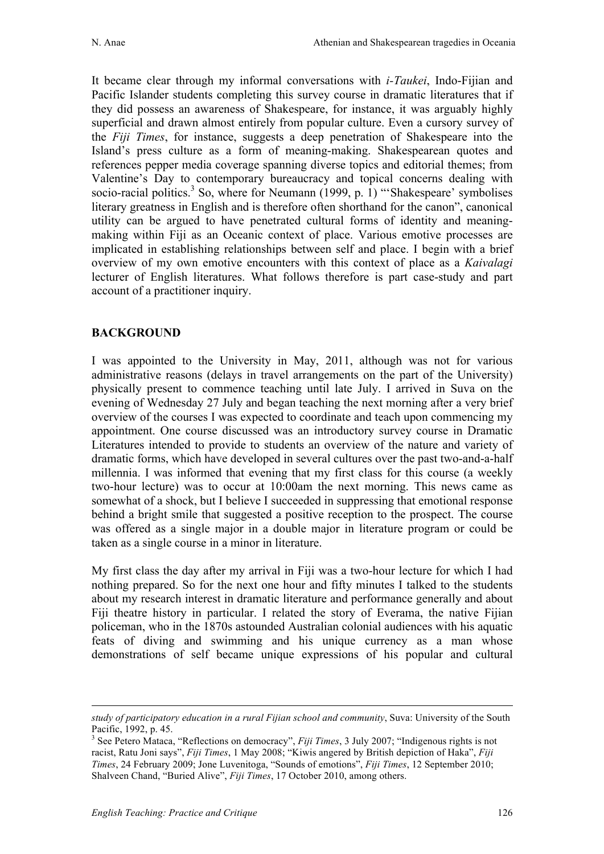It became clear through my informal conversations with *i-Taukei*, Indo-Fijian and Pacific Islander students completing this survey course in dramatic literatures that if they did possess an awareness of Shakespeare, for instance, it was arguably highly superficial and drawn almost entirely from popular culture. Even a cursory survey of the *Fiji Times*, for instance, suggests a deep penetration of Shakespeare into the Island's press culture as a form of meaning-making. Shakespearean quotes and references pepper media coverage spanning diverse topics and editorial themes; from Valentine's Day to contemporary bureaucracy and topical concerns dealing with socio-racial politics.<sup>3</sup> So, where for Neumann (1999, p. 1) "'Shakespeare' symbolises literary greatness in English and is therefore often shorthand for the canon", canonical utility can be argued to have penetrated cultural forms of identity and meaningmaking within Fiji as an Oceanic context of place. Various emotive processes are implicated in establishing relationships between self and place. I begin with a brief overview of my own emotive encounters with this context of place as a *Kaivalagi* lecturer of English literatures. What follows therefore is part case-study and part account of a practitioner inquiry.

# **BACKGROUND**

I was appointed to the University in May, 2011, although was not for various administrative reasons (delays in travel arrangements on the part of the University) physically present to commence teaching until late July. I arrived in Suva on the evening of Wednesday 27 July and began teaching the next morning after a very brief overview of the courses I was expected to coordinate and teach upon commencing my appointment. One course discussed was an introductory survey course in Dramatic Literatures intended to provide to students an overview of the nature and variety of dramatic forms, which have developed in several cultures over the past two-and-a-half millennia. I was informed that evening that my first class for this course (a weekly two-hour lecture) was to occur at 10:00am the next morning. This news came as somewhat of a shock, but I believe I succeeded in suppressing that emotional response behind a bright smile that suggested a positive reception to the prospect. The course was offered as a single major in a double major in literature program or could be taken as a single course in a minor in literature.

My first class the day after my arrival in Fiji was a two-hour lecture for which I had nothing prepared. So for the next one hour and fifty minutes I talked to the students about my research interest in dramatic literature and performance generally and about Fiji theatre history in particular. I related the story of Everama, the native Fijian policeman, who in the 1870s astounded Australian colonial audiences with his aquatic feats of diving and swimming and his unique currency as a man whose demonstrations of self became unique expressions of his popular and cultural

<u>.</u>

*study of participatory education in a rural Fijian school and community*, Suva: University of the South Pacific, 1992, p. 45. <sup>3</sup> See Petero Mataca, "Reflections on democracy", *Fiji Times*, 3 July 2007; "Indigenous rights is not

racist, Ratu Joni says", *Fiji Times*, 1 May 2008; "Kiwis angered by British depiction of Haka", *Fiji Times*, 24 February 2009; Jone Luvenitoga, "Sounds of emotions", *Fiji Times*, 12 September 2010; Shalveen Chand, "Buried Alive", *Fiji Times*, 17 October 2010, among others.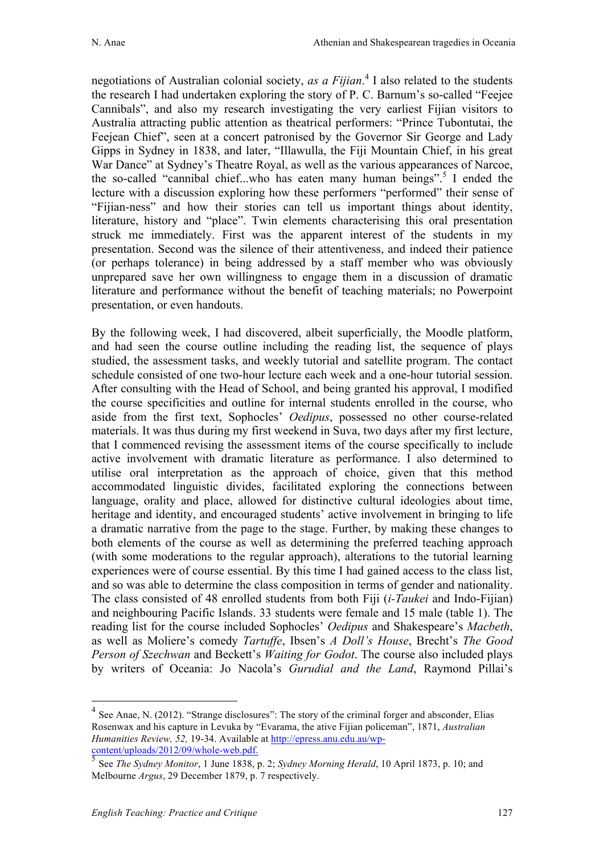negotiations of Australian colonial society, *as a Fijian*. <sup>4</sup> I also related to the students the research I had undertaken exploring the story of P. C. Barnum's so-called "Feejee Cannibals", and also my research investigating the very earliest Fijian visitors to Australia attracting public attention as theatrical performers: "Prince Tubontutai, the Feejean Chief", seen at a concert patronised by the Governor Sir George and Lady Gipps in Sydney in 1838, and later, "Illawulla, the Fiji Mountain Chief, in his great War Dance" at Sydney's Theatre Royal, as well as the various appearances of Narcoe, the so-called "cannibal chief...who has eaten many human beings".<sup>5</sup> I ended the lecture with a discussion exploring how these performers "performed" their sense of "Fijian-ness" and how their stories can tell us important things about identity, literature, history and "place". Twin elements characterising this oral presentation struck me immediately. First was the apparent interest of the students in my presentation. Second was the silence of their attentiveness, and indeed their patience (or perhaps tolerance) in being addressed by a staff member who was obviously unprepared save her own willingness to engage them in a discussion of dramatic literature and performance without the benefit of teaching materials; no Powerpoint presentation, or even handouts.

By the following week, I had discovered, albeit superficially, the Moodle platform, and had seen the course outline including the reading list, the sequence of plays studied, the assessment tasks, and weekly tutorial and satellite program. The contact schedule consisted of one two-hour lecture each week and a one-hour tutorial session. After consulting with the Head of School, and being granted his approval, I modified the course specificities and outline for internal students enrolled in the course, who aside from the first text, Sophocles' *Oedipus*, possessed no other course-related materials. It was thus during my first weekend in Suva, two days after my first lecture, that I commenced revising the assessment items of the course specifically to include active involvement with dramatic literature as performance. I also determined to utilise oral interpretation as the approach of choice, given that this method accommodated linguistic divides, facilitated exploring the connections between language, orality and place, allowed for distinctive cultural ideologies about time, heritage and identity, and encouraged students' active involvement in bringing to life a dramatic narrative from the page to the stage. Further, by making these changes to both elements of the course as well as determining the preferred teaching approach (with some moderations to the regular approach), alterations to the tutorial learning experiences were of course essential. By this time I had gained access to the class list, and so was able to determine the class composition in terms of gender and nationality. The class consisted of 48 enrolled students from both Fiji (*i-Taukei* and Indo-Fijian) and neighbouring Pacific Islands. 33 students were female and 15 male (table 1). The reading list for the course included Sophocles' *Oedipus* and Shakespeare's *Macbeth*, as well as Moliere's comedy *Tartuffe*, Ibsen's *A Doll's House*, Brecht's *The Good Person of Szechwan* and Beckett's *Waiting for Godot*. The course also included plays by writers of Oceania: Jo Nacola's *Gurudial and the Land*, Raymond Pillai's

<sup>&</sup>lt;sup>4</sup> See Anae, N. (2012). "Strange disclosures": The story of the criminal forger and absconder, Elias Rosenwax and his capture in Levuka by "Evarama, the ative Fijian policeman", 1871, *Australian Humanities Review, 52,* 19-34. Available at <u>http://epress.anu.edu.au/wp-content/uploads/2012/09/whole-web.pdf</u>

<sup>&</sup>lt;sup>5</sup> See *The Sydney Monitor*, 1 June 1838, p. 2; *Sydney Morning Herald*, 10 April 1873, p. 10; and Melbourne *Argus*, 29 December 1879, p. 7 respectively.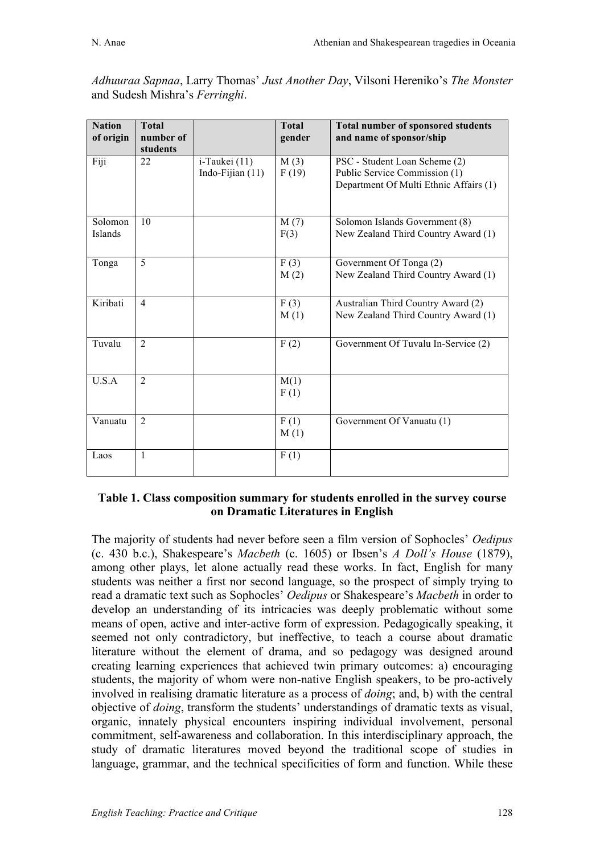| <b>Nation</b><br>of origin | <b>Total</b><br>number of<br>students |                                     | <b>Total</b><br>gender | <b>Total number of sponsored students</b><br>and name of sponsor/ship                                    |
|----------------------------|---------------------------------------|-------------------------------------|------------------------|----------------------------------------------------------------------------------------------------------|
| Fiji                       | 22                                    | i-Taukei (11)<br>Indo-Fijian $(11)$ | M(3)<br>F(19)          | PSC - Student Loan Scheme (2)<br>Public Service Commission (1)<br>Department Of Multi Ethnic Affairs (1) |
| Solomon<br>Islands         | 10                                    |                                     | M(7)<br>F(3)           | Solomon Islands Government (8)<br>New Zealand Third Country Award (1)                                    |
| Tonga                      | 5                                     |                                     | F(3)<br>M(2)           | Government Of Tonga (2)<br>New Zealand Third Country Award (1)                                           |
| Kiribati                   | $\overline{4}$                        |                                     | F(3)<br>M(1)           | Australian Third Country Award (2)<br>New Zealand Third Country Award (1)                                |
| Tuvalu                     | $\overline{2}$                        |                                     | F(2)                   | Government Of Tuvalu In-Service (2)                                                                      |
| U.S.A                      | $\overline{2}$                        |                                     | M(1)<br>F(1)           |                                                                                                          |
| Vanuatu                    | $\overline{2}$                        |                                     | F(1)<br>M(1)           | Government Of Vanuatu (1)                                                                                |
| Laos                       | $\mathbf{1}$                          |                                     | F(1)                   |                                                                                                          |

*Adhuuraa Sapnaa*, Larry Thomas' *Just Another Day*, Vilsoni Hereniko's *The Monster* and Sudesh Mishra's *Ferringhi*.

### **Table 1. Class composition summary for students enrolled in the survey course on Dramatic Literatures in English**

The majority of students had never before seen a film version of Sophocles' *Oedipus* (c. 430 b.c.), Shakespeare's *Macbeth* (c. 1605) or Ibsen's *A Doll's House* (1879), among other plays, let alone actually read these works. In fact, English for many students was neither a first nor second language, so the prospect of simply trying to read a dramatic text such as Sophocles' *Oedipus* or Shakespeare's *Macbeth* in order to develop an understanding of its intricacies was deeply problematic without some means of open, active and inter-active form of expression. Pedagogically speaking, it seemed not only contradictory, but ineffective, to teach a course about dramatic literature without the element of drama, and so pedagogy was designed around creating learning experiences that achieved twin primary outcomes: a) encouraging students, the majority of whom were non-native English speakers, to be pro-actively involved in realising dramatic literature as a process of *doing*; and, b) with the central objective of *doing*, transform the students' understandings of dramatic texts as visual, organic, innately physical encounters inspiring individual involvement, personal commitment, self-awareness and collaboration. In this interdisciplinary approach, the study of dramatic literatures moved beyond the traditional scope of studies in language, grammar, and the technical specificities of form and function. While these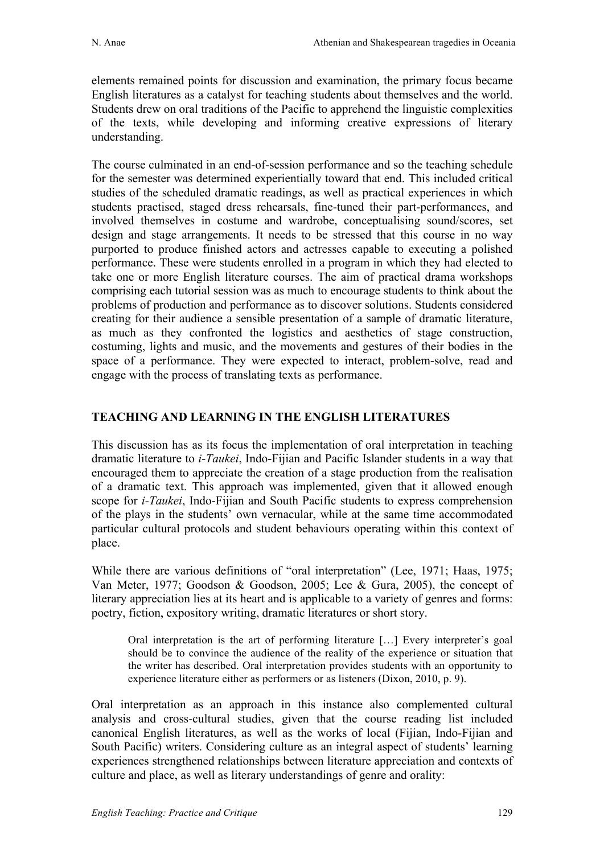elements remained points for discussion and examination, the primary focus became English literatures as a catalyst for teaching students about themselves and the world. Students drew on oral traditions of the Pacific to apprehend the linguistic complexities of the texts, while developing and informing creative expressions of literary understanding.

The course culminated in an end-of-session performance and so the teaching schedule for the semester was determined experientially toward that end. This included critical studies of the scheduled dramatic readings, as well as practical experiences in which students practised, staged dress rehearsals, fine-tuned their part-performances, and involved themselves in costume and wardrobe, conceptualising sound/scores, set design and stage arrangements. It needs to be stressed that this course in no way purported to produce finished actors and actresses capable to executing a polished performance. These were students enrolled in a program in which they had elected to take one or more English literature courses. The aim of practical drama workshops comprising each tutorial session was as much to encourage students to think about the problems of production and performance as to discover solutions. Students considered creating for their audience a sensible presentation of a sample of dramatic literature, as much as they confronted the logistics and aesthetics of stage construction, costuming, lights and music, and the movements and gestures of their bodies in the space of a performance. They were expected to interact, problem-solve, read and engage with the process of translating texts as performance.

## **TEACHING AND LEARNING IN THE ENGLISH LITERATURES**

This discussion has as its focus the implementation of oral interpretation in teaching dramatic literature to *i-Taukei*, Indo-Fijian and Pacific Islander students in a way that encouraged them to appreciate the creation of a stage production from the realisation of a dramatic text. This approach was implemented, given that it allowed enough scope for *i-Taukei*, Indo-Fijian and South Pacific students to express comprehension of the plays in the students' own vernacular, while at the same time accommodated particular cultural protocols and student behaviours operating within this context of place.

While there are various definitions of "oral interpretation" (Lee, 1971; Haas, 1975; Van Meter, 1977; Goodson & Goodson, 2005; Lee & Gura, 2005), the concept of literary appreciation lies at its heart and is applicable to a variety of genres and forms: poetry, fiction, expository writing, dramatic literatures or short story.

Oral interpretation is the art of performing literature […] Every interpreter's goal should be to convince the audience of the reality of the experience or situation that the writer has described. Oral interpretation provides students with an opportunity to experience literature either as performers or as listeners (Dixon, 2010, p. 9).

Oral interpretation as an approach in this instance also complemented cultural analysis and cross-cultural studies, given that the course reading list included canonical English literatures, as well as the works of local (Fijian, Indo-Fijian and South Pacific) writers. Considering culture as an integral aspect of students' learning experiences strengthened relationships between literature appreciation and contexts of culture and place, as well as literary understandings of genre and orality: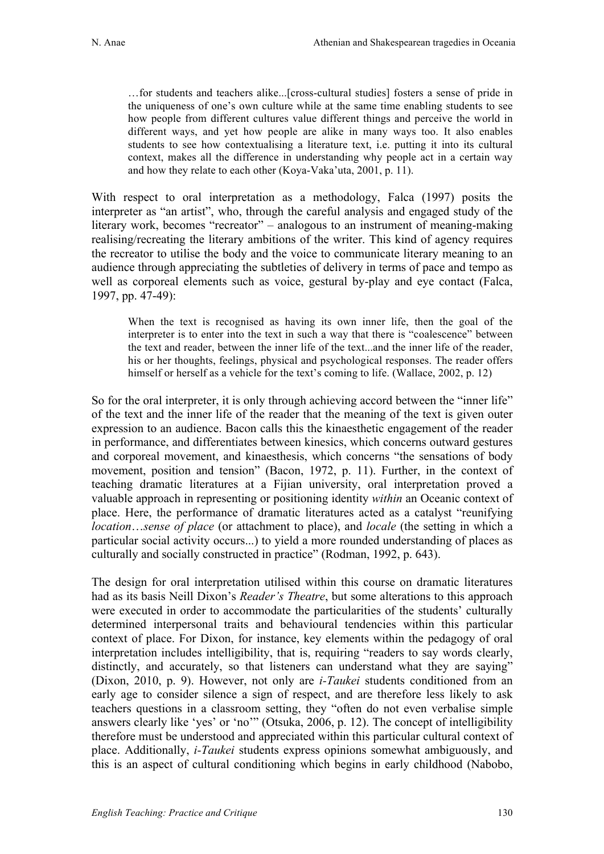…for students and teachers alike...[cross-cultural studies] fosters a sense of pride in the uniqueness of one's own culture while at the same time enabling students to see how people from different cultures value different things and perceive the world in different ways, and yet how people are alike in many ways too. It also enables students to see how contextualising a literature text, i.e. putting it into its cultural context, makes all the difference in understanding why people act in a certain way and how they relate to each other (Koya-Vaka'uta, 2001, p. 11).

With respect to oral interpretation as a methodology, Falca (1997) posits the interpreter as "an artist", who, through the careful analysis and engaged study of the literary work, becomes "recreator" – analogous to an instrument of meaning-making realising/recreating the literary ambitions of the writer. This kind of agency requires the recreator to utilise the body and the voice to communicate literary meaning to an audience through appreciating the subtleties of delivery in terms of pace and tempo as well as corporeal elements such as voice, gestural by-play and eye contact (Falca, 1997, pp. 47-49):

When the text is recognised as having its own inner life, then the goal of the interpreter is to enter into the text in such a way that there is "coalescence" between the text and reader, between the inner life of the text...and the inner life of the reader, his or her thoughts, feelings, physical and psychological responses. The reader offers himself or herself as a vehicle for the text's coming to life. (Wallace, 2002, p. 12)

So for the oral interpreter, it is only through achieving accord between the "inner life" of the text and the inner life of the reader that the meaning of the text is given outer expression to an audience. Bacon calls this the kinaesthetic engagement of the reader in performance, and differentiates between kinesics, which concerns outward gestures and corporeal movement, and kinaesthesis, which concerns "the sensations of body movement, position and tension" (Bacon, 1972, p. 11). Further, in the context of teaching dramatic literatures at a Fijian university, oral interpretation proved a valuable approach in representing or positioning identity *within* an Oceanic context of place. Here, the performance of dramatic literatures acted as a catalyst "reunifying *location*…*sense of place* (or attachment to place), and *locale* (the setting in which a particular social activity occurs...) to yield a more rounded understanding of places as culturally and socially constructed in practice" (Rodman, 1992, p. 643).

The design for oral interpretation utilised within this course on dramatic literatures had as its basis Neill Dixon's *Reader's Theatre*, but some alterations to this approach were executed in order to accommodate the particularities of the students' culturally determined interpersonal traits and behavioural tendencies within this particular context of place. For Dixon, for instance, key elements within the pedagogy of oral interpretation includes intelligibility, that is, requiring "readers to say words clearly, distinctly, and accurately, so that listeners can understand what they are saying" (Dixon, 2010, p. 9). However, not only are *i-Taukei* students conditioned from an early age to consider silence a sign of respect, and are therefore less likely to ask teachers questions in a classroom setting, they "often do not even verbalise simple answers clearly like 'yes' or 'no'" (Otsuka, 2006, p. 12). The concept of intelligibility therefore must be understood and appreciated within this particular cultural context of place. Additionally, *i-Taukei* students express opinions somewhat ambiguously, and this is an aspect of cultural conditioning which begins in early childhood (Nabobo,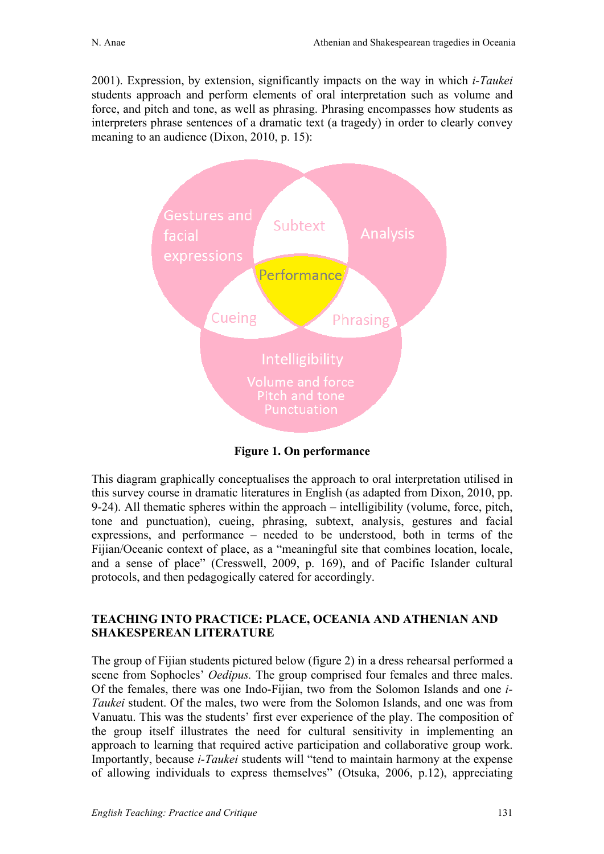2001). Expression, by extension, significantly impacts on the way in which *i-Taukei* students approach and perform elements of oral interpretation such as volume and force, and pitch and tone, as well as phrasing. Phrasing encompasses how students as interpreters phrase sentences of a dramatic text (a tragedy) in order to clearly convey meaning to an audience (Dixon, 2010, p. 15):



**Figure 1. On performance**

This diagram graphically conceptualises the approach to oral interpretation utilised in this survey course in dramatic literatures in English (as adapted from Dixon, 2010, pp. 9-24). All thematic spheres within the approach – intelligibility (volume, force, pitch, tone and punctuation), cueing, phrasing, subtext, analysis, gestures and facial expressions, and performance – needed to be understood, both in terms of the Fijian/Oceanic context of place, as a "meaningful site that combines location, locale, and a sense of place" (Cresswell, 2009, p. 169), and of Pacific Islander cultural protocols, and then pedagogically catered for accordingly.

## **TEACHING INTO PRACTICE: PLACE, OCEANIA AND ATHENIAN AND SHAKESPEREAN LITERATURE**

The group of Fijian students pictured below (figure 2) in a dress rehearsal performed a scene from Sophocles' *Oedipus.* The group comprised four females and three males. Of the females, there was one Indo-Fijian, two from the Solomon Islands and one *i-Taukei* student. Of the males, two were from the Solomon Islands, and one was from Vanuatu. This was the students' first ever experience of the play. The composition of the group itself illustrates the need for cultural sensitivity in implementing an approach to learning that required active participation and collaborative group work. Importantly, because *i-Taukei* students will "tend to maintain harmony at the expense of allowing individuals to express themselves" (Otsuka, 2006, p.12), appreciating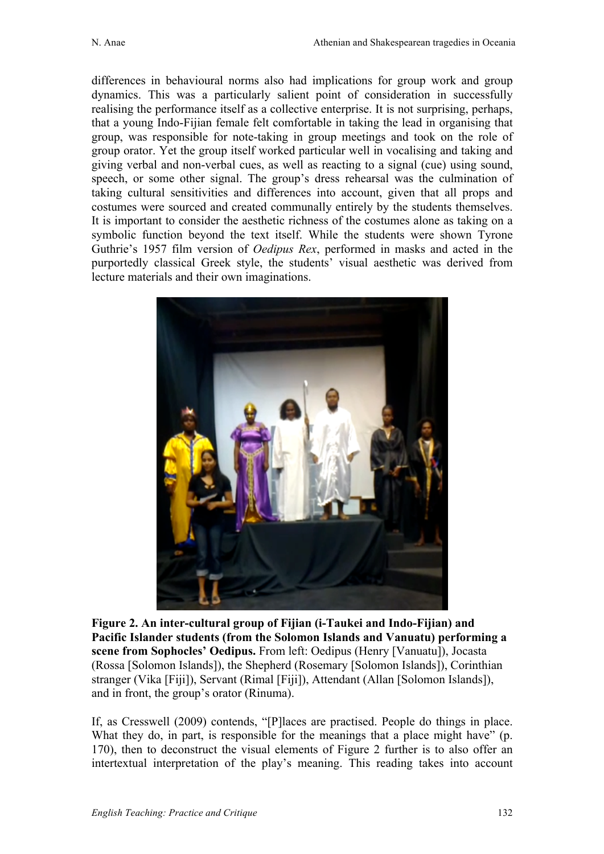differences in behavioural norms also had implications for group work and group dynamics. This was a particularly salient point of consideration in successfully realising the performance itself as a collective enterprise. It is not surprising, perhaps, that a young Indo-Fijian female felt comfortable in taking the lead in organising that group, was responsible for note-taking in group meetings and took on the role of group orator. Yet the group itself worked particular well in vocalising and taking and giving verbal and non-verbal cues, as well as reacting to a signal (cue) using sound, speech, or some other signal. The group's dress rehearsal was the culmination of taking cultural sensitivities and differences into account, given that all props and costumes were sourced and created communally entirely by the students themselves. It is important to consider the aesthetic richness of the costumes alone as taking on a symbolic function beyond the text itself. While the students were shown Tyrone Guthrie's 1957 film version of *Oedipus Rex*, performed in masks and acted in the purportedly classical Greek style, the students' visual aesthetic was derived from lecture materials and their own imaginations.



**Figure 2. An inter-cultural group of Fijian (i-Taukei and Indo-Fijian) and Pacific Islander students (from the Solomon Islands and Vanuatu) performing a scene from Sophocles' Oedipus.** From left: Oedipus (Henry [Vanuatu]), Jocasta (Rossa [Solomon Islands]), the Shepherd (Rosemary [Solomon Islands]), Corinthian stranger (Vika [Fiji]), Servant (Rimal [Fiji]), Attendant (Allan [Solomon Islands]), and in front, the group's orator (Rinuma).

If, as Cresswell (2009) contends, "[P]laces are practised. People do things in place. What they do, in part, is responsible for the meanings that a place might have" (p. 170), then to deconstruct the visual elements of Figure 2 further is to also offer an intertextual interpretation of the play's meaning. This reading takes into account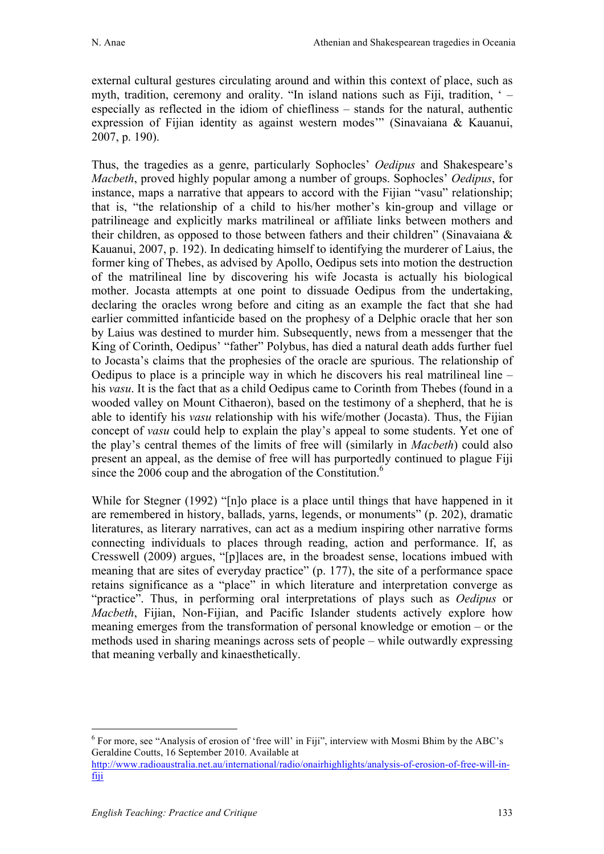external cultural gestures circulating around and within this context of place, such as myth, tradition, ceremony and orality. "In island nations such as Fiji, tradition, ' – especially as reflected in the idiom of chiefliness – stands for the natural, authentic expression of Fijian identity as against western modes'" (Sinavaiana & Kauanui, 2007, p. 190).

Thus, the tragedies as a genre, particularly Sophocles' *Oedipus* and Shakespeare's *Macbeth*, proved highly popular among a number of groups. Sophocles' *Oedipus*, for instance, maps a narrative that appears to accord with the Fijian "vasu" relationship; that is, "the relationship of a child to his/her mother's kin-group and village or patrilineage and explicitly marks matrilineal or affiliate links between mothers and their children, as opposed to those between fathers and their children" (Sinavaiana & Kauanui, 2007, p. 192). In dedicating himself to identifying the murderer of Laius, the former king of Thebes, as advised by Apollo, Oedipus sets into motion the destruction of the matrilineal line by discovering his wife Jocasta is actually his biological mother. Jocasta attempts at one point to dissuade Oedipus from the undertaking, declaring the oracles wrong before and citing as an example the fact that she had earlier committed infanticide based on the prophesy of a Delphic oracle that her son by Laius was destined to murder him. Subsequently, news from a messenger that the King of Corinth, Oedipus' "father" Polybus, has died a natural death adds further fuel to Jocasta's claims that the prophesies of the oracle are spurious. The relationship of Oedipus to place is a principle way in which he discovers his real matrilineal line – his *vasu*. It is the fact that as a child Oedipus came to Corinth from Thebes (found in a wooded valley on Mount Cithaeron), based on the testimony of a shepherd, that he is able to identify his *vasu* relationship with his wife/mother (Jocasta). Thus, the Fijian concept of *vasu* could help to explain the play's appeal to some students. Yet one of the play's central themes of the limits of free will (similarly in *Macbeth*) could also present an appeal, as the demise of free will has purportedly continued to plague Fiji since the 2006 coup and the abrogation of the Constitution.<sup>6</sup>

While for Stegner (1992) "[n]o place is a place until things that have happened in it are remembered in history, ballads, yarns, legends, or monuments" (p. 202), dramatic literatures, as literary narratives, can act as a medium inspiring other narrative forms connecting individuals to places through reading, action and performance. If, as Cresswell (2009) argues, "[p]laces are, in the broadest sense, locations imbued with meaning that are sites of everyday practice" (p. 177), the site of a performance space retains significance as a "place" in which literature and interpretation converge as "practice". Thus, in performing oral interpretations of plays such as *Oedipus* or *Macbeth*, Fijian, Non-Fijian, and Pacific Islander students actively explore how meaning emerges from the transformation of personal knowledge or emotion – or the methods used in sharing meanings across sets of people – while outwardly expressing that meaning verbally and kinaesthetically.

 <sup>6</sup> For more, see "Analysis of erosion of 'free will' in Fiji", interview with Mosmi Bhim by the ABC's Geraldine Coutts, 16 September 2010. Available at

http://www.radioaustralia.net.au/international/radio/onairhighlights/analysis-of-erosion-of-free-will-infiji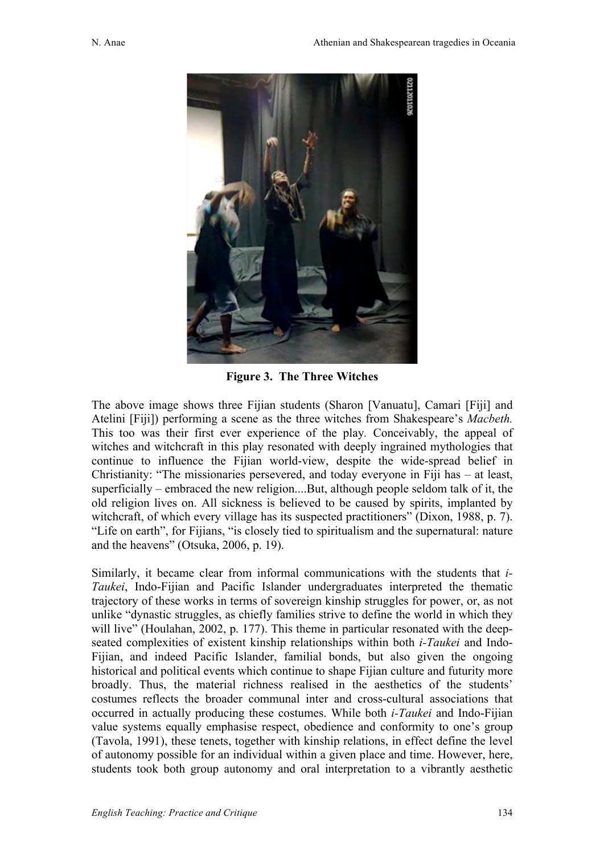

**Figure 3. The Three Witches**

The above image shows three Fijian students (Sharon [Vanuatu], Camari [Fiji] and Atelini [Fiji]) performing a scene as the three witches from Shakespeare's *Macbeth.* This too was their first ever experience of the play*.* Conceivably, the appeal of witches and witchcraft in this play resonated with deeply ingrained mythologies that continue to influence the Fijian world-view, despite the wide-spread belief in Christianity: "The missionaries persevered, and today everyone in Fiji has – at least, superficially – embraced the new religion....But, although people seldom talk of it, the old religion lives on. All sickness is believed to be caused by spirits, implanted by witchcraft, of which every village has its suspected practitioners" (Dixon, 1988, p. 7). "Life on earth", for Fijians, "is closely tied to spiritualism and the supernatural: nature and the heavens" (Otsuka, 2006, p. 19).

Similarly, it became clear from informal communications with the students that *i-Taukei*, Indo-Fijian and Pacific Islander undergraduates interpreted the thematic trajectory of these works in terms of sovereign kinship struggles for power, or, as not unlike "dynastic struggles, as chiefly families strive to define the world in which they will live" (Houlahan, 2002, p. 177). This theme in particular resonated with the deepseated complexities of existent kinship relationships within both *i-Taukei* and Indo-Fijian, and indeed Pacific Islander, familial bonds, but also given the ongoing historical and political events which continue to shape Fijian culture and futurity more broadly. Thus, the material richness realised in the aesthetics of the students' costumes reflects the broader communal inter and cross-cultural associations that occurred in actually producing these costumes. While both *i-Taukei* and Indo-Fijian value systems equally emphasise respect, obedience and conformity to one's group (Tavola, 1991), these tenets, together with kinship relations, in effect define the level of autonomy possible for an individual within a given place and time. However, here, students took both group autonomy and oral interpretation to a vibrantly aesthetic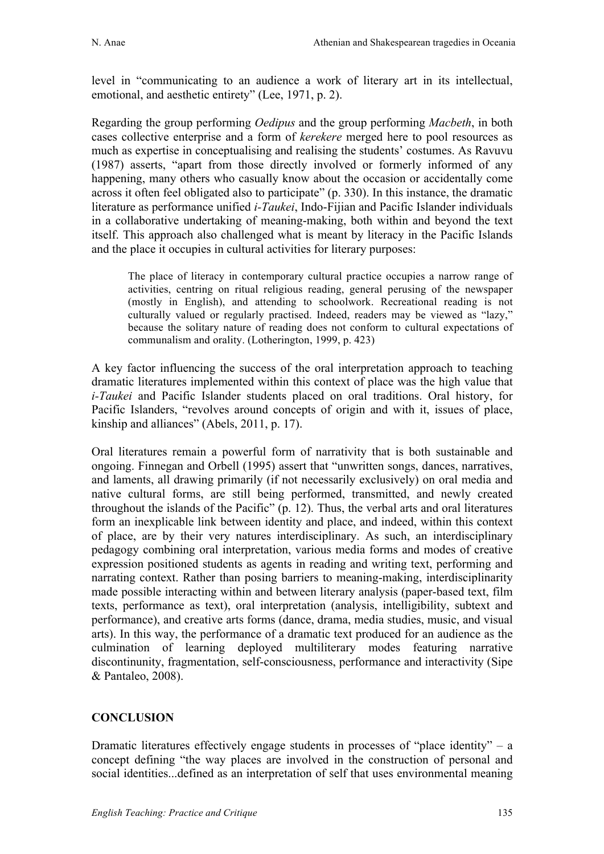level in "communicating to an audience a work of literary art in its intellectual, emotional, and aesthetic entirety" (Lee, 1971, p. 2).

Regarding the group performing *Oedipus* and the group performing *Macbeth*, in both cases collective enterprise and a form of *kerekere* merged here to pool resources as much as expertise in conceptualising and realising the students' costumes. As Ravuvu (1987) asserts, "apart from those directly involved or formerly informed of any happening, many others who casually know about the occasion or accidentally come across it often feel obligated also to participate" (p. 330). In this instance, the dramatic literature as performance unified *i-Taukei*, Indo-Fijian and Pacific Islander individuals in a collaborative undertaking of meaning-making, both within and beyond the text itself. This approach also challenged what is meant by literacy in the Pacific Islands and the place it occupies in cultural activities for literary purposes:

The place of literacy in contemporary cultural practice occupies a narrow range of activities, centring on ritual religious reading, general perusing of the newspaper (mostly in English), and attending to schoolwork. Recreational reading is not culturally valued or regularly practised. Indeed, readers may be viewed as "lazy," because the solitary nature of reading does not conform to cultural expectations of communalism and orality. (Lotherington, 1999, p. 423)

A key factor influencing the success of the oral interpretation approach to teaching dramatic literatures implemented within this context of place was the high value that *i-Taukei* and Pacific Islander students placed on oral traditions. Oral history, for Pacific Islanders, "revolves around concepts of origin and with it, issues of place, kinship and alliances" (Abels, 2011, p. 17).

Oral literatures remain a powerful form of narrativity that is both sustainable and ongoing. Finnegan and Orbell (1995) assert that "unwritten songs, dances, narratives, and laments, all drawing primarily (if not necessarily exclusively) on oral media and native cultural forms, are still being performed, transmitted, and newly created throughout the islands of the Pacific" (p. 12). Thus, the verbal arts and oral literatures form an inexplicable link between identity and place, and indeed, within this context of place, are by their very natures interdisciplinary. As such, an interdisciplinary pedagogy combining oral interpretation, various media forms and modes of creative expression positioned students as agents in reading and writing text, performing and narrating context. Rather than posing barriers to meaning-making, interdisciplinarity made possible interacting within and between literary analysis (paper-based text, film texts, performance as text), oral interpretation (analysis, intelligibility, subtext and performance), and creative arts forms (dance, drama, media studies, music, and visual arts). In this way, the performance of a dramatic text produced for an audience as the culmination of learning deployed multiliterary modes featuring narrative discontinunity, fragmentation, self-consciousness, performance and interactivity (Sipe & Pantaleo, 2008).

## **CONCLUSION**

Dramatic literatures effectively engage students in processes of "place identity" – a concept defining "the way places are involved in the construction of personal and social identities...defined as an interpretation of self that uses environmental meaning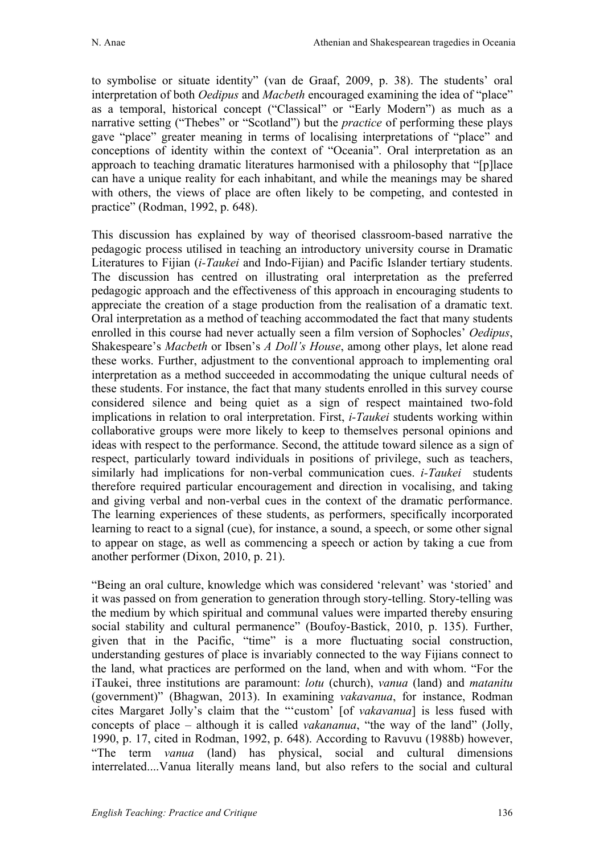to symbolise or situate identity" (van de Graaf, 2009, p. 38). The students' oral interpretation of both *Oedipus* and *Macbeth* encouraged examining the idea of "place" as a temporal, historical concept ("Classical" or "Early Modern") as much as a narrative setting ("Thebes" or "Scotland") but the *practice* of performing these plays gave "place" greater meaning in terms of localising interpretations of "place" and conceptions of identity within the context of "Oceania". Oral interpretation as an approach to teaching dramatic literatures harmonised with a philosophy that "[p]lace can have a unique reality for each inhabitant, and while the meanings may be shared with others, the views of place are often likely to be competing, and contested in practice" (Rodman, 1992, p. 648).

This discussion has explained by way of theorised classroom-based narrative the pedagogic process utilised in teaching an introductory university course in Dramatic Literatures to Fijian (*i-Taukei* and Indo-Fijian) and Pacific Islander tertiary students. The discussion has centred on illustrating oral interpretation as the preferred pedagogic approach and the effectiveness of this approach in encouraging students to appreciate the creation of a stage production from the realisation of a dramatic text. Oral interpretation as a method of teaching accommodated the fact that many students enrolled in this course had never actually seen a film version of Sophocles' *Oedipus*, Shakespeare's *Macbeth* or Ibsen's *A Doll's House*, among other plays, let alone read these works. Further, adjustment to the conventional approach to implementing oral interpretation as a method succeeded in accommodating the unique cultural needs of these students. For instance, the fact that many students enrolled in this survey course considered silence and being quiet as a sign of respect maintained two-fold implications in relation to oral interpretation. First, *i-Taukei* students working within collaborative groups were more likely to keep to themselves personal opinions and ideas with respect to the performance. Second, the attitude toward silence as a sign of respect, particularly toward individuals in positions of privilege, such as teachers, similarly had implications for non-verbal communication cues. *i-Taukei* students therefore required particular encouragement and direction in vocalising, and taking and giving verbal and non-verbal cues in the context of the dramatic performance. The learning experiences of these students, as performers, specifically incorporated learning to react to a signal (cue), for instance, a sound, a speech, or some other signal to appear on stage, as well as commencing a speech or action by taking a cue from another performer (Dixon, 2010, p. 21).

"Being an oral culture, knowledge which was considered 'relevant' was 'storied' and it was passed on from generation to generation through story-telling. Story-telling was the medium by which spiritual and communal values were imparted thereby ensuring social stability and cultural permanence" (Boufoy-Bastick, 2010, p. 135). Further, given that in the Pacific, "time" is a more fluctuating social construction, understanding gestures of place is invariably connected to the way Fijians connect to the land, what practices are performed on the land, when and with whom. "For the iTaukei, three institutions are paramount: *lotu* (church), *vanua* (land) and *matanitu* (government)" (Bhagwan, 2013). In examining *vakavanua*, for instance, Rodman cites Margaret Jolly's claim that the "'custom' [of *vakavanua*] is less fused with concepts of place – although it is called *vakananua*, "the way of the land" (Jolly, 1990, p. 17, cited in Rodman, 1992, p. 648). According to Ravuvu (1988b) however, "The term *vanua* (land) has physical, social and cultural dimensions interrelated....Vanua literally means land, but also refers to the social and cultural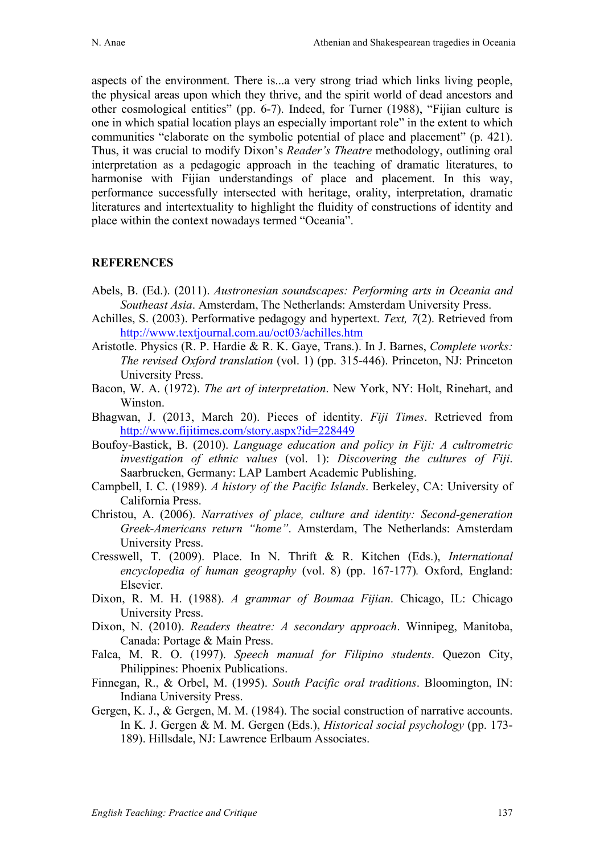aspects of the environment. There is...a very strong triad which links living people, the physical areas upon which they thrive, and the spirit world of dead ancestors and other cosmological entities" (pp. 6-7). Indeed, for Turner (1988), "Fijian culture is one in which spatial location plays an especially important role" in the extent to which communities "elaborate on the symbolic potential of place and placement" (p. 421). Thus, it was crucial to modify Dixon's *Reader's Theatre* methodology, outlining oral interpretation as a pedagogic approach in the teaching of dramatic literatures, to harmonise with Fijian understandings of place and placement. In this way, performance successfully intersected with heritage, orality, interpretation, dramatic literatures and intertextuality to highlight the fluidity of constructions of identity and place within the context nowadays termed "Oceania".

## **REFERENCES**

- Abels, B. (Ed.). (2011). *Austronesian soundscapes: Performing arts in Oceania and Southeast Asia*. Amsterdam, The Netherlands: Amsterdam University Press.
- Achilles, S. (2003). Performative pedagogy and hypertext. *Text, 7*(2). Retrieved from http://www.textjournal.com.au/oct03/achilles.htm
- Aristotle. Physics (R. P. Hardie & R. K. Gaye, Trans.). In J. Barnes, *Complete works: The revised Oxford translation* (vol. 1) (pp. 315-446). Princeton, NJ: Princeton University Press.
- Bacon, W. A. (1972). *The art of interpretation*. New York, NY: Holt, Rinehart, and Winston.
- Bhagwan, J. (2013, March 20). Pieces of identity. *Fiji Times*. Retrieved from http://www.fijitimes.com/story.aspx?id=228449
- Boufoy-Bastick, B. (2010). *Language education and policy in Fiji: A cultrometric investigation of ethnic values* (vol. 1): *Discovering the cultures of Fiji*. Saarbrucken, Germany: LAP Lambert Academic Publishing.
- Campbell, I. C. (1989). *A history of the Pacific Islands*. Berkeley, CA: University of California Press.
- Christou, A. (2006). *Narratives of place, culture and identity: Second-generation Greek-Americans return "home"*. Amsterdam, The Netherlands: Amsterdam University Press.
- Cresswell, T. (2009). Place. In N. Thrift & R. Kitchen (Eds.), *International encyclopedia of human geography* (vol. 8) (pp. 167-177)*.* Oxford, England: Elsevier.
- Dixon, R. M. H. (1988). *A grammar of Boumaa Fijian*. Chicago, IL: Chicago University Press.
- Dixon, N. (2010). *Readers theatre: A secondary approach*. Winnipeg, Manitoba, Canada: Portage & Main Press.
- Falca, M. R. O. (1997). *Speech manual for Filipino students*. Quezon City, Philippines: Phoenix Publications.
- Finnegan, R., & Orbel, M. (1995). *South Pacific oral traditions*. Bloomington, IN: Indiana University Press.
- Gergen, K. J., & Gergen, M. M. (1984). The social construction of narrative accounts. In K. J. Gergen & M. M. Gergen (Eds.), *Historical social psychology* (pp. 173- 189). Hillsdale, NJ: Lawrence Erlbaum Associates.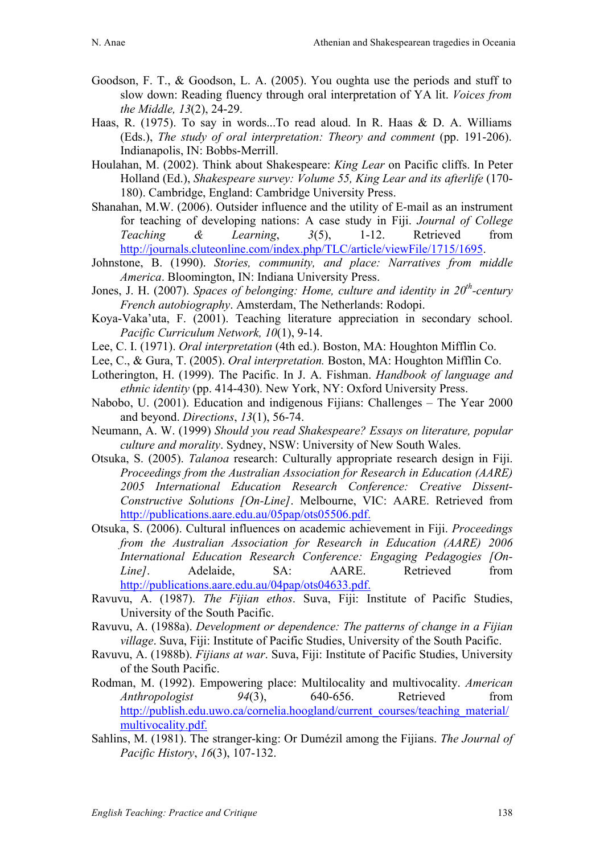- Goodson, F. T., & Goodson, L. A. (2005). You oughta use the periods and stuff to slow down: Reading fluency through oral interpretation of YA lit. *Voices from the Middle, 13*(2), 24-29.
- Haas, R. (1975). To say in words...To read aloud. In R. Haas & D. A. Williams (Eds.), *The study of oral interpretation: Theory and comment* (pp. 191-206). Indianapolis, IN: Bobbs-Merrill.
- Houlahan, M. (2002). Think about Shakespeare: *King Lear* on Pacific cliffs. In Peter Holland (Ed.), *Shakespeare survey: Volume 55, King Lear and its afterlife* (170- 180). Cambridge, England: Cambridge University Press.
- Shanahan, M.W. (2006). Outsider influence and the utility of E-mail as an instrument for teaching of developing nations: A case study in Fiji. *Journal of College Teaching & Learning*, *3*(5), 1-12. Retrieved from http://journals.cluteonline.com/index.php/TLC/article/viewFile/1715/1695.
- Johnstone, B. (1990). *Stories, community, and place: Narratives from middle America*. Bloomington, IN: Indiana University Press.
- Jones, J. H. (2007). *Spaces of belonging: Home, culture and identity in 20th-century French autobiography*. Amsterdam, The Netherlands: Rodopi.
- Koya-Vaka'uta, F. (2001). Teaching literature appreciation in secondary school. *Pacific Curriculum Network, 10*(1), 9-14.
- Lee, C. I. (1971). *Oral interpretation* (4th ed.). Boston, MA: Houghton Mifflin Co.
- Lee, C., & Gura, T. (2005). *Oral interpretation.* Boston, MA: Houghton Mifflin Co.
- Lotherington, H. (1999). The Pacific. In J. A. Fishman. *Handbook of language and ethnic identity* (pp. 414-430). New York, NY: Oxford University Press.
- Nabobo, U. (2001). Education and indigenous Fijians: Challenges The Year 2000 and beyond. *Directions*, *13*(1), 56-74.
- Neumann, A. W. (1999) *Should you read Shakespeare? Essays on literature, popular culture and morality*. Sydney, NSW: University of New South Wales.
- Otsuka, S. (2005). *Talanoa* research: Culturally appropriate research design in Fiji. *Proceedings from the Australian Association for Research in Education (AARE) 2005 International Education Research Conference: Creative Dissent-Constructive Solutions [On-Line]*. Melbourne, VIC: AARE. Retrieved from http://publications.aare.edu.au/05pap/ots05506.pdf.
- Otsuka, S. (2006). Cultural influences on academic achievement in Fiji. *Proceedings from the Australian Association for Research in Education (AARE) 2006 International Education Research Conference: Engaging Pedagogies [On-Line]*. Adelaide, SA: AARE. Retrieved from http://publications.aare.edu.au/04pap/ots04633.pdf.
- Ravuvu, A. (1987). *The Fijian ethos*. Suva, Fiji: Institute of Pacific Studies, University of the South Pacific.
- Ravuvu, A. (1988a). *Development or dependence: The patterns of change in a Fijian village*. Suva, Fiji: Institute of Pacific Studies, University of the South Pacific.
- Ravuvu, A. (1988b). *Fijians at war*. Suva, Fiji: Institute of Pacific Studies, University of the South Pacific.
- Rodman, M. (1992). Empowering place: Multilocality and multivocality. *American Anthropologist 94*(3), 640-656. Retrieved from http://publish.edu.uwo.ca/cornelia.hoogland/current\_courses/teaching\_material/ multivocality.pdf.
- Sahlins, M. (1981). The stranger-king: Or Dumézil among the Fijians. *The Journal of Pacific History*, *16*(3), 107-132.